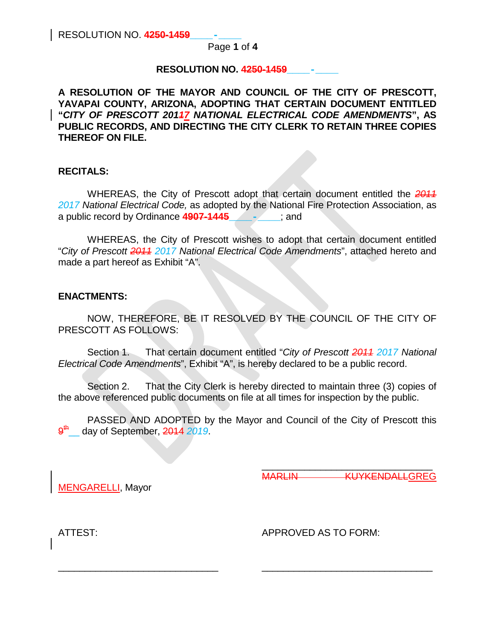Page **1** of **4**

# **RESOLUTION NO. 4250-1459\_\_\_\_-\_\_\_\_**

**A RESOLUTION OF THE MAYOR AND COUNCIL OF THE CITY OF PRESCOTT, YAVAPAI COUNTY, ARIZONA, ADOPTING THAT CERTAIN DOCUMENT ENTITLED "***CITY OF PRESCOTT 20117 NATIONAL ELECTRICAL CODE AMENDMENTS***", AS PUBLIC RECORDS, AND DIRECTING THE CITY CLERK TO RETAIN THREE COPIES THEREOF ON FILE.**

# **RECITALS:**

WHEREAS, the City of Prescott adopt that certain document entitled the *2011 2017 National Electrical Code,* as adopted by the National Fire Protection Association, as a public record by Ordinance **4907-1445\_\_\_\_-\_\_\_\_**; and

WHEREAS, the City of Prescott wishes to adopt that certain document entitled "*City of Prescott 2011 2017 National Electrical Code Amendments*", attached hereto and made a part hereof as Exhibit "A".

## **ENACTMENTS:**

NOW, THEREFORE, BE IT RESOLVED BY THE COUNCIL OF THE CITY OF PRESCOTT AS FOLLOWS:

Section 1. That certain document entitled "*City of Prescott 2011 2017 National Electrical Code Amendments*", Exhibit "A", is hereby declared to be a public record.

Section 2. That the City Clerk is hereby directed to maintain three (3) copies of the above referenced public documents on file at all times for inspection by the public.

PASSED AND ADOPTED by the Mayor and Council of the City of Prescott this day of September, 2014 2019.

\_\_\_\_\_\_\_\_\_\_\_\_\_\_\_\_\_\_\_\_\_\_\_\_\_\_\_\_\_\_ \_\_\_\_\_\_\_\_\_\_\_\_\_\_\_\_\_\_\_\_\_\_\_\_\_\_\_\_\_\_\_\_

MENGARELLI, Mayor

\_\_\_\_\_\_\_\_\_\_\_\_\_\_\_\_\_\_\_\_\_\_\_\_\_\_\_\_\_\_\_\_ MARLIN KUYKENDALLGREG

ATTEST: APPROVED AS TO FORM: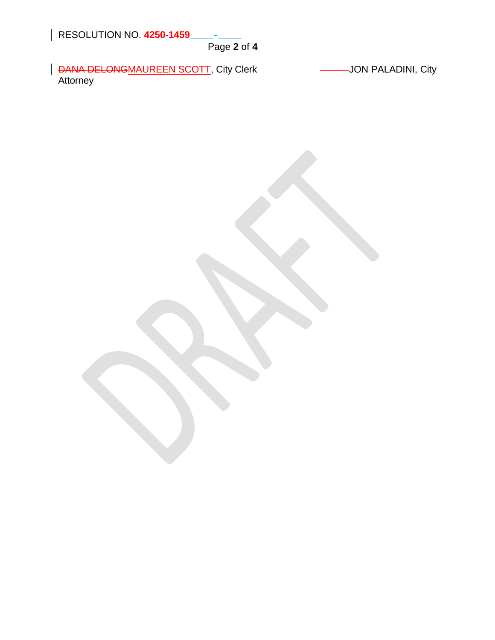RESOLUTION NO. **4250-1459\_\_\_\_-\_\_\_\_**

Page **2** of **4**

| DANA DELONGMAUREEN SCOTT, City Clerk **JON PALADINI, City** Attorney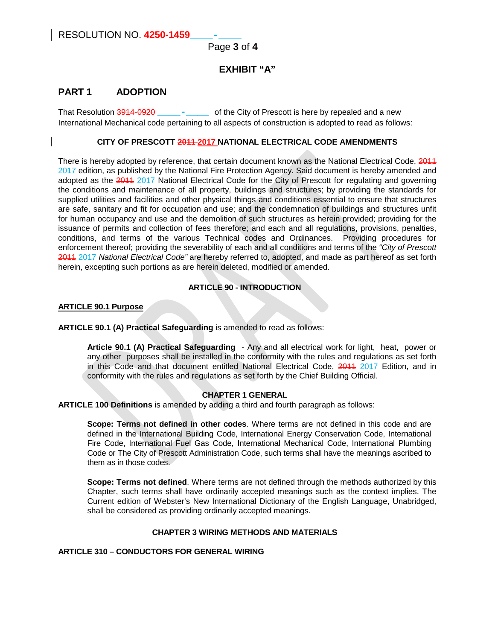# Page **3** of **4**

# **EXHIBIT "A"**

# **PART 1 ADOPTION**

That Resolution 3914-0920 **\_\_\_\_-\_\_\_\_** of the City of Prescott is here by repealed and a new International Mechanical code pertaining to all aspects of construction is adopted to read as follows:

## **CITY OF PRESCOTT 2011 2017 NATIONAL ELECTRICAL CODE AMENDMENTS**

There is hereby adopted by reference, that certain document known as the National Electrical Code, 2011 2017 edition, as published by the National Fire Protection Agency. Said document is hereby amended and adopted as the 2011 2017 National Electrical Code for the City of Prescott for regulating and governing the conditions and maintenance of all property, buildings and structures; by providing the standards for supplied utilities and facilities and other physical things and conditions essential to ensure that structures are safe, sanitary and fit for occupation and use; and the condemnation of buildings and structures unfit for human occupancy and use and the demolition of such structures as herein provided; providing for the issuance of permits and collection of fees therefore; and each and all regulations, provisions, penalties, conditions, and terms of the various Technical codes and Ordinances. Providing procedures for enforcement thereof; providing the severability of each and all conditions and terms of the *"City of Prescott*  2011 2017 *National Electrical Code"* are hereby referred to, adopted, and made as part hereof as set forth herein, excepting such portions as are herein deleted, modified or amended.

#### **ARTICLE 90 - INTRODUCTION**

#### **ARTICLE 90.1 Purpose**

#### **ARTICLE 90.1 (A) Practical Safeguarding** is amended to read as follows:

**Article 90.1 (A) Practical Safeguarding** - Any and all electrical work for light, heat, power or any other purposes shall be installed in the conformity with the rules and regulations as set forth in this Code and that document entitled National Electrical Code, 2011 2017 Edition, and in conformity with the rules and regulations as set forth by the Chief Building Official.

## **CHAPTER 1 GENERAL**

**ARTICLE 100 Definitions** is amended by adding a third and fourth paragraph as follows:

**Scope: Terms not defined in other codes**. Where terms are not defined in this code and are defined in the International Building Code, International Energy Conservation Code, International Fire Code, International Fuel Gas Code, International Mechanical Code, International Plumbing Code or The City of Prescott Administration Code, such terms shall have the meanings ascribed to them as in those codes.

**Scope: Terms not defined**. Where terms are not defined through the methods authorized by this Chapter, such terms shall have ordinarily accepted meanings such as the context implies. The Current edition of Webster's New International Dictionary of the English Language, Unabridged, shall be considered as providing ordinarily accepted meanings.

#### **CHAPTER 3 WIRING METHODS AND MATERIALS**

## **ARTICLE 310 – CONDUCTORS FOR GENERAL WIRING**